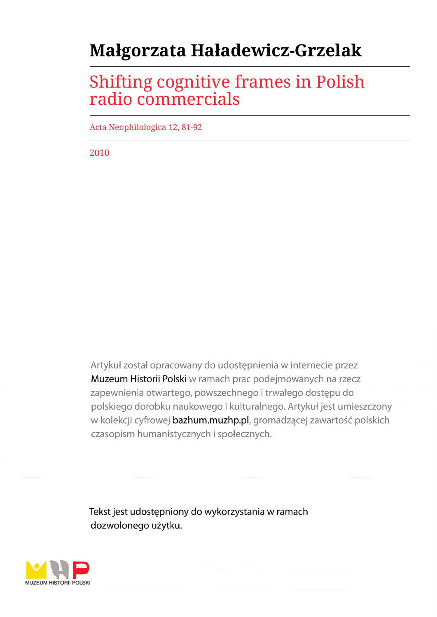# **Małgorzata Haładewicz-Grzelak**

## Shifting cognitive frames in Polish radio commercials

Acta Neophilologica 12, 81-92

2010

Artykuł został opracowany do udostępnienia w internecie przez Muzeum Historii Polski w ramach prac podejmowanych na rzecz zapewnienia otwartego, powszechnego i trwałego dostępu do polskiego dorobku naukowego i kulturalnego. Artykuł jest umieszczony w kolekcji cyfrowej bazhum.muzhp.pl, gromadzącej zawartość polskich czasopism humanistycznych i społecznych.

Tekst jest udostępniony do wykorzystania w ramach dozwolonego użytku.

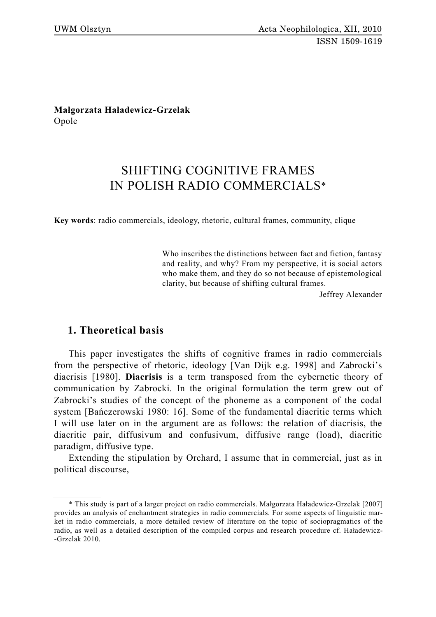**Małgorzata Haładewicz-Grzelak** Opole

### SHIFTING COGNITIVE FRAMES IN POLISH RADIO COMMERCIALS\*

**Key words**: radio commercials, ideology, rhetoric, cultural frames, community, clique

Who inscribes the distinctions between fact and fiction, fantasy and reality, and why? From my perspective, it is social actors who make them, and they do so not because of epistemological clarity, but because of shifting cultural frames.

Jeffrey Alexander

#### **1. Theoretical basis**

This paper investigates the shifts of cognitive frames in radio commercials from the perspective of rhetoric, ideology [Van Dijk e.g. 1998] and Zabrocki's diacrisis [1980]. **Diacrisis** is a term transposed from the cybernetic theory of communication by Zabrocki. In the original formulation the term grew out of Zabrocki's studies of the concept of the phoneme as a component of the codal system [Bańczerowski 1980: 16]. Some of the fundamental diacritic terms which I will use later on in the argument are as follows: the relation of diacrisis, the diacritic pair, diffusivum and confusivum, diffusive range (load), diacritic paradigm, diffusive type.

Extending the stipulation by Orchard, I assume that in commercial, just as in political discourse,

<sup>\*</sup> This study is part of a larger project on radio commercials. Małgorzata Haładewicz-Grzelak [2007] provides an analysis of enchantment strategies in radio commercials. For some aspects of linguistic market in radio commercials, a more detailed review of literature on the topic of sociopragmatics of the radio, as well as a detailed description of the compiled corpus and research procedure cf. Haładewicz- -Grzelak 2010.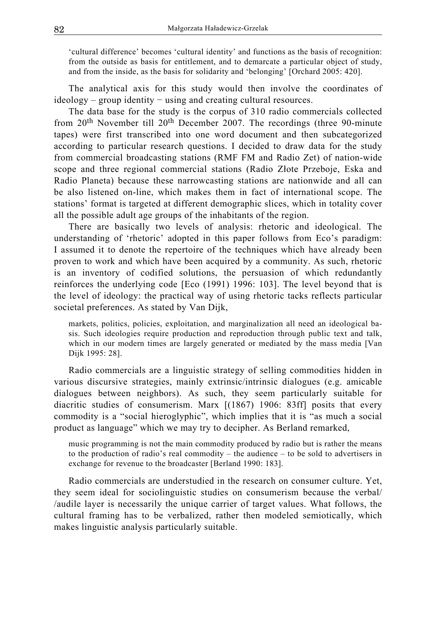'cultural difference' becomes 'cultural identity' and functions as the basis of recognition: from the outside as basis for entitlement, and to demarcate a particular object of study, and from the inside, as the basis for solidarity and 'belonging' [Orchard 2005: 420].

The analytical axis for this study would then involve the coordinates of ideology – group identity − using and creating cultural resources.

The data base for the study is the corpus of 310 radio commercials collected from  $20<sup>th</sup>$  November till  $20<sup>th</sup>$  December 2007. The recordings (three 90-minute tapes) were first transcribed into one word document and then subcategorized according to particular research questions. I decided to draw data for the study from commercial broadcasting stations (RMF FM and Radio Zet) of nation-wide scope and three regional commercial stations (Radio Złote Przeboje, Eska and Radio Planeta) because these narrowcasting stations are nationwide and all can be also listened on-line, which makes them in fact of international scope. The stations' format is targeted at different demographic slices, which in totality cover all the possible adult age groups of the inhabitants of the region.

There are basically two levels of analysis: rhetoric and ideological. The understanding of 'rhetoric' adopted in this paper follows from Eco's paradigm: I assumed it to denote the repertoire of the techniques which have already been proven to work and which have been acquired by a community. As such, rhetoric is an inventory of codified solutions, the persuasion of which redundantly reinforces the underlying code [Eco (1991) 1996: 103]. The level beyond that is the level of ideology: the practical way of using rhetoric tacks reflects particular societal preferences. As stated by Van Dijk,

markets, politics, policies, exploitation, and marginalization all need an ideological basis. Such ideologies require production and reproduction through public text and talk, which in our modern times are largely generated or mediated by the mass media [Van Dijk 1995: 28].

Radio commercials are a linguistic strategy of selling commodities hidden in various discursive strategies, mainly extrinsic/intrinsic dialogues (e.g. amicable dialogues between neighbors). As such, they seem particularly suitable for diacritic studies of consumerism. Marx [(1867) 1906: 83ff] posits that every commodity is a "social hieroglyphic", which implies that it is "as much a social product as language" which we may try to decipher. As Berland remarked,

music programming is not the main commodity produced by radio but is rather the means to the production of radio's real commodity – the audience – to be sold to advertisers in exchange for revenue to the broadcaster [Berland 1990: 183].

Radio commercials are understudied in the research on consumer culture. Yet, they seem ideal for sociolinguistic studies on consumerism because the verbal/ /audile layer is necessarily the unique carrier of target values. What follows, the cultural framing has to be verbalized, rather then modeled semiotically, which makes linguistic analysis particularly suitable.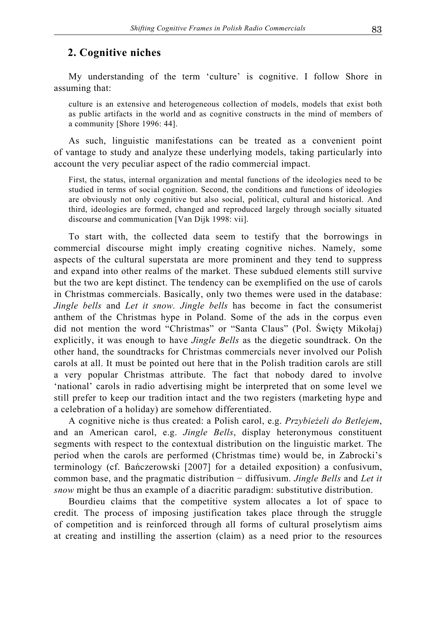#### **2. Cognitive niches**

My understanding of the term 'culture' is cognitive. I follow Shore in assuming that:

culture is an extensive and heterogeneous collection of models, models that exist both as public artifacts in the world and as cognitive constructs in the mind of members of a community [Shore 1996: 44].

As such, linguistic manifestations can be treated as a convenient point of vantage to study and analyze these underlying models, taking particularly into account the very peculiar aspect of the radio commercial impact.

First, the status, internal organization and mental functions of the ideologies need to be studied in terms of social cognition. Second, the conditions and functions of ideologies are obviously not only cognitive but also social, political, cultural and historical. And third, ideologies are formed, changed and reproduced largely through socially situated discourse and communication [Van Dijk 1998: vii].

To start with, the collected data seem to testify that the borrowings in commercial discourse might imply creating cognitive niches. Namely, some aspects of the cultural superstata are more prominent and they tend to suppress and expand into other realms of the market. These subdued elements still survive but the two are kept distinct. The tendency can be exemplified on the use of carols in Christmas commercials. Basically, only two themes were used in the database: *Jingle bells* and *Let it snow. Jingle bells* has become in fact the consumerist anthem of the Christmas hype in Poland. Some of the ads in the corpus even did not mention the word "Christmas" or "Santa Claus" (Pol. Święty Mikołaj) explicitly, it was enough to have *Jingle Bells* as the diegetic soundtrack. On the other hand, the soundtracks for Christmas commercials never involved our Polish carols at all. It must be pointed out here that in the Polish tradition carols are still a very popular Christmas attribute. The fact that nobody dared to involve 'national' carols in radio advertising might be interpreted that on some level we still prefer to keep our tradition intact and the two registers (marketing hype and a celebration of a holiday) are somehow differentiated.

A cognitive niche is thus created: a Polish carol, e.g. *Przybieżeli do Betlejem*, and an American carol, e.g. *Jingle Bells*, display heteronymous constituent segments with respect to the contextual distribution on the linguistic market. The period when the carols are performed (Christmas time) would be, in Zabrocki's terminology (cf. Bańczerowski [2007] for a detailed exposition) a confusivum, common base, and the pragmatic distribution − diffusivum. *Jingle Bells* and *Let it snow* might be thus an example of a diacritic paradigm: substitutive distribution.

Bourdieu claims that the competitive system allocates a lot of space to credit*.* The process of imposing justification takes place through the struggle of competition and is reinforced through all forms of cultural proselytism aims at creating and instilling the assertion (claim) as a need prior to the resources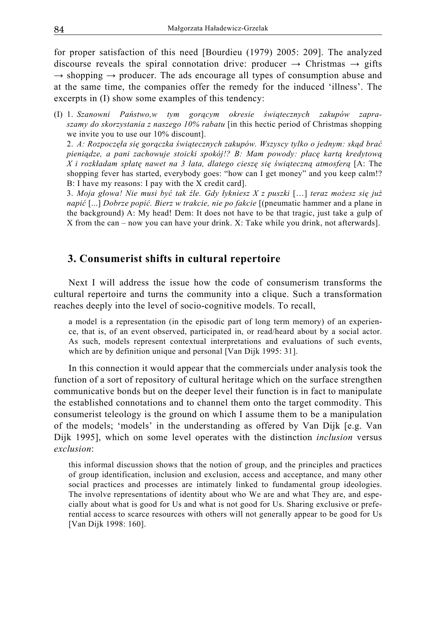for proper satisfaction of this need [Bourdieu (1979) 2005: 209]. The analyzed discourse reveals the spiral connotation drive: producer  $\rightarrow$  Christmas  $\rightarrow$  gifts  $\rightarrow$  shopping  $\rightarrow$  producer. The ads encourage all types of consumption abuse and at the same time, the companies offer the remedy for the induced 'illness'. The excerpts in (I) show some examples of this tendency:

(I) 1. *Szanowni Państwo,w tym gorącym okresie świątecznych zakupów zapraszamy do skorzystania z naszego 10% rabatu* [in this hectic period of Christmas shopping we invite you to use our 10% discount].

 2. *A: Rozpoczęła się gorączka świątecznych zakupów. Wszyscy tylko o jednym: skąd brać pieniądze, a pani zachowuje stoicki spokój!? B: Mam powody: płacę kartą kredytową X i rozkładam spłatę nawet na 3 lata, dlatego cieszę się świąteczną atmosferą* [A: The shopping fever has started, everybody goes: "how can I get money" and you keep calm!? B: I have my reasons: I pay with the X credit card].

 3. *Moja głowa! Nie musi być tak źle. Gdy łykniesz X z puszki* […] *teraz możesz się już napić* [...] *Dobrze popić. Bierz w trakcie, nie po fakcie* [(pneumatic hammer and a plane in the background) A: My head! Dem: It does not have to be that tragic, just take a gulp of X from the can – now you can have your drink. X: Take while you drink, not afterwards].

#### **3. Consumerist shifts in cultural repertoire**

Next I will address the issue how the code of consumerism transforms the cultural repertoire and turns the community into a clique. Such a transformation reaches deeply into the level of socio-cognitive models. To recall,

a model is a representation (in the episodic part of long term memory) of an experience, that is, of an event observed, participated in, or read/heard about by a social actor. As such, models represent contextual interpretations and evaluations of such events, which are by definition unique and personal [Van Dijk 1995: 31].

In this connection it would appear that the commercials under analysis took the function of a sort of repository of cultural heritage which on the surface strengthen communicative bonds but on the deeper level their function is in fact to manipulate the established connotations and to channel them onto the target commodity. This consumerist teleology is the ground on which I assume them to be a manipulation of the models; 'models' in the understanding as offered by Van Dijk [e.g. Van Dijk 1995], which on some level operates with the distinction *inclusion* versus *exclusion*:

this informal discussion shows that the notion of group, and the principles and practices of group identification, inclusion and exclusion, access and acceptance, and many other social practices and processes are intimately linked to fundamental group ideologies. The involve representations of identity about who We are and what They are, and especially about what is good for Us and what is not good for Us. Sharing exclusive or preferential access to scarce resources with others will not generally appear to be good for Us [Van Dijk 1998: 160].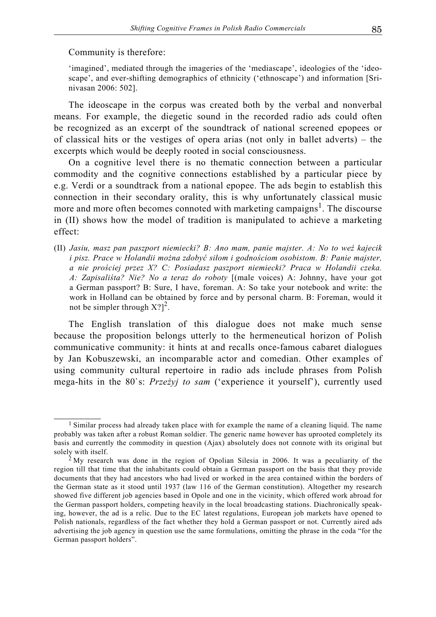Community is therefore:

'imagined', mediated through the imageries of the 'mediascape', ideologies of the 'ideoscape', and ever-shifting demographics of ethnicity ('ethnoscape') and information [Srinivasan 2006: 502].

The ideoscape in the corpus was created both by the verbal and nonverbal means. For example, the diegetic sound in the recorded radio ads could often be recognized as an excerpt of the soundtrack of national screened epopees or of classical hits or the vestiges of opera arias (not only in ballet adverts) – the excerpts which would be deeply rooted in social consciousness.

On a cognitive level there is no thematic connection between a particular commodity and the cognitive connections established by a particular piece by e.g. Verdi or a soundtrack from a national epopee. The ads begin to establish this connection in their secondary orality, this is why unfortunately classical music more and more often becomes connoted with marketing campaigns<sup>1</sup>. The discourse in (II) shows how the model of tradition is manipulated to achieve a marketing effect:

(II) *Jasiu, masz pan paszport niemiecki? B: Ano mam, panie majster. A: No to weź kajecik i pisz. Prace w Holandii można zdobyć siłom i godnościom osobistom. B: Panie majster, a nie prościej przez X? C: Posiadasz paszport niemiecki? Praca w Holandii czeka. A: Zapisaliśta? Nie? No a teraz do roboty* [(male voices) A: Johnny, have your got a German passport? B: Sure, I have, foreman. A: So take your notebook and write: the work in Holland can be obtained by force and by personal charm. B: Foreman, would it not be simpler through  $X$ ?]<sup>2</sup>.

The English translation of this dialogue does not make much sense because the proposition belongs utterly to the hermeneutical horizon of Polish communicative community: it hints at and recalls once-famous cabaret dialogues by Jan Kobuszewski, an incomparable actor and comedian. Other examples of using community cultural repertoire in radio ads include phrases from Polish mega-hits in the 80`s: *Przeżyj to sam* ('experience it yourself'), currently used

<sup>&</sup>lt;sup>1</sup> Similar process had already taken place with for example the name of a cleaning liquid. The name probably was taken after a robust Roman soldier. The generic name however has uprooted completely its basis and currently the commodity in question (Ajax) absolutely does not connote with its original but solely with itself.<br><sup>2</sup> My research was done in the region of Opolian Silesia in 2006. It was a peculiarity of the

region till that time that the inhabitants could obtain a German passport on the basis that they provide documents that they had ancestors who had lived or worked in the area contained within the borders of the German state as it stood until 1937 (law 116 of the German constitution). Altogether my research showed five different job agencies based in Opole and one in the vicinity, which offered work abroad for the German passport holders, competing heavily in the local broadcasting stations. Diachronically speaking, however, the ad is a relic. Due to the EC latest regulations, European job markets have opened to Polish nationals, regardless of the fact whether they hold a German passport or not. Currently aired ads advertising the job agency in question use the same formulations, omitting the phrase in the coda "for the German passport holders".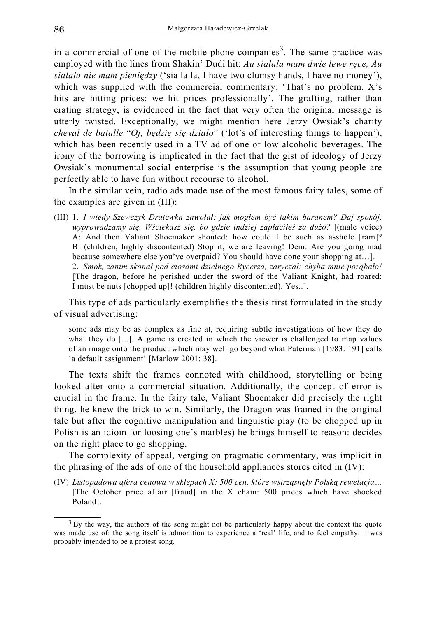in a commercial of one of the mobile-phone companies<sup>3</sup>. The same practice was employed with the lines from Shakin' Dudi hit: *Au sialala mam dwie lewe ręce, Au sialala nie mam pieniędzy* ('sia la la, I have two clumsy hands, I have no money'), which was supplied with the commercial commentary: 'That's no problem. X's hits are hitting prices: we hit prices professionally'. The grafting, rather than crating strategy, is evidenced in the fact that very often the original message is utterly twisted. Exceptionally, we might mention here Jerzy Owsiak's charity *cheval de batalle* "*Oj, będzie się działo*" ('lot's of interesting things to happen'), which has been recently used in a TV ad of one of low alcoholic beverages. The irony of the borrowing is implicated in the fact that the gist of ideology of Jerzy Owsiak's monumental social enterprise is the assumption that young people are perfectly able to have fun without recourse to alcohol.

In the similar vein, radio ads made use of the most famous fairy tales, some of the examples are given in (III):

(III) 1. *I wtedy Szewczyk Dratewka zawołał: jak mogłem być takim baranem? Daj spokój, wyprowadzamy się. Wściekasz się, bo gdzie indziej zapłaciłeś za dużo?* [(male voice) A: And then Valiant Shoemaker shouted: how could I be such as asshole [ram]? B: (children, highly discontented) Stop it, we are leaving! Dem: Are you going mad because somewhere else you've overpaid? You should have done your shopping at…]. 2. *Smok, zanim skonał pod ciosami dzielnego Rycerza, zaryczał: chyba mnie porąbało!*  [The dragon, before he perished under the sword of the Valiant Knight, had roared: I must be nuts [chopped up]! (children highly discontented). Yes..].

This type of ads particularly exemplifies the thesis first formulated in the study of visual advertising:

some ads may be as complex as fine at, requiring subtle investigations of how they do what they do [...]. A game is created in which the viewer is challenged to map values of an image onto the product which may well go beyond what Paterman [1983: 191] calls 'a default assignment' [Marlow 2001: 38].

The texts shift the frames connoted with childhood, storytelling or being looked after onto a commercial situation. Additionally, the concept of error is crucial in the frame. In the fairy tale, Valiant Shoemaker did precisely the right thing, he knew the trick to win. Similarly, the Dragon was framed in the original tale but after the cognitive manipulation and linguistic play (to be chopped up in Polish is an idiom for loosing one's marbles) he brings himself to reason: decides on the right place to go shopping.

The complexity of appeal, verging on pragmatic commentary, was implicit in the phrasing of the ads of one of the household appliances stores cited in (IV):

(IV) *Listopadowa afera cenowa w sklepach X: 500 cen, które wstrząsnęły Polską rewelacja…*  [The October price affair [fraud] in the X chain: 500 prices which have shocked Poland].

<sup>&</sup>lt;sup>3</sup> By the way, the authors of the song might not be particularly happy about the context the quote was made use of: the song itself is admonition to experience a 'real' life, and to feel empathy; it was probably intended to be a protest song.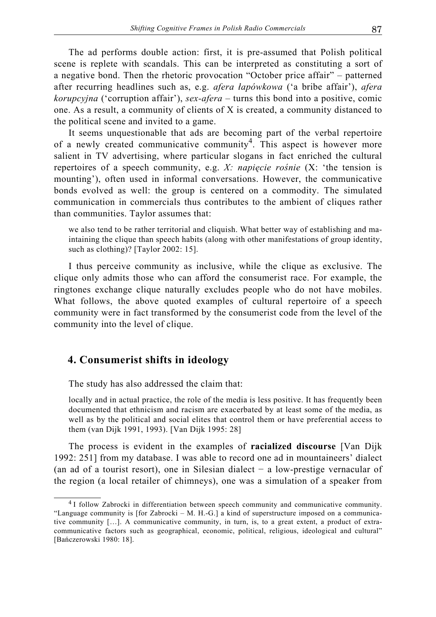The ad performs double action: first, it is pre-assumed that Polish political scene is replete with scandals. This can be interpreted as constituting a sort of a negative bond. Then the rhetoric provocation "October price affair" – patterned after recurring headlines such as, e.g. *afera łapówkowa* ('a bribe affair'), *afera korupcyjna* ('corruption affair'), *sex-afera* – turns this bond into a positive, comic one. As a result, a community of clients of X is created, a community distanced to the political scene and invited to a game.

It seems unquestionable that ads are becoming part of the verbal repertoire of a newly created communicative community<sup>4</sup>. This aspect is however more salient in TV advertising, where particular slogans in fact enriched the cultural repertoires of a speech community, e.g. *X: napięcie rośnie* (X: 'the tension is mounting'), often used in informal conversations. However, the communicative bonds evolved as well: the group is centered on a commodity. The simulated communication in commercials thus contributes to the ambient of cliques rather than communities. Taylor assumes that:

we also tend to be rather territorial and cliquish. What better way of establishing and maintaining the clique than speech habits (along with other manifestations of group identity, such as clothing)? [Taylor 2002: 15].

I thus perceive community as inclusive, while the clique as exclusive. The clique only admits those who can afford the consumerist race. For example, the ringtones exchange clique naturally excludes people who do not have mobiles. What follows, the above quoted examples of cultural repertoire of a speech community were in fact transformed by the consumerist code from the level of the community into the level of clique.

#### **4. Consumerist shifts in ideology**

The study has also addressed the claim that:

locally and in actual practice, the role of the media is less positive. It has frequently been documented that ethnicism and racism are exacerbated by at least some of the media, as well as by the political and social elites that control them or have preferential access to them (van Dijk 1991, 1993). [Van Dijk 1995: 28]

The process is evident in the examples of **racialized discourse** [Van Dijk 1992: 251] from my database. I was able to record one ad in mountaineers' dialect (an ad of a tourist resort), one in Silesian dialect − a low-prestige vernacular of the region (a local retailer of chimneys), one was a simulation of a speaker from

<sup>4</sup> I follow Zabrocki in differentiation between speech community and communicative community. "Language community is [for Zabrocki – M. H.-G.] a kind of superstructure imposed on a communicative community […]. A communicative community, in turn, is, to a great extent, a product of extracommunicative factors such as geographical, economic, political, religious, ideological and cultural" [Bańczerowski 1980: 18].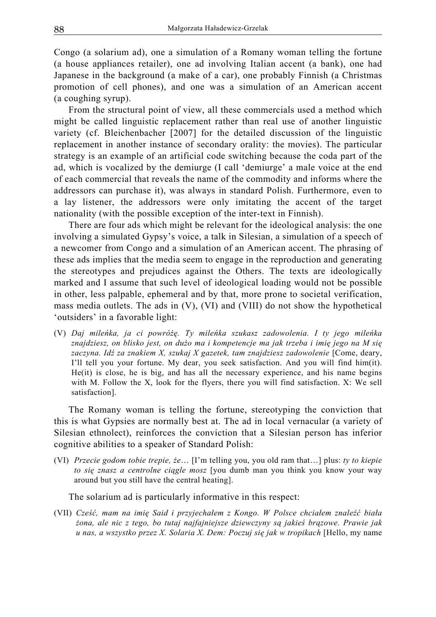Congo (a solarium ad), one a simulation of a Romany woman telling the fortune (a house appliances retailer), one ad involving Italian accent (a bank), one had Japanese in the background (a make of a car), one probably Finnish (a Christmas promotion of cell phones), and one was a simulation of an American accent (a coughing syrup).

From the structural point of view, all these commercials used a method which might be called linguistic replacement rather than real use of another linguistic variety (cf. Bleichenbacher [2007] for the detailed discussion of the linguistic replacement in another instance of secondary orality: the movies). The particular strategy is an example of an artificial code switching because the coda part of the ad, which is vocalized by the demiurge (I call 'demiurge' a male voice at the end of each commercial that reveals the name of the commodity and informs where the addressors can purchase it), was always in standard Polish. Furthermore, even to a lay listener, the addressors were only imitating the accent of the target nationality (with the possible exception of the inter-text in Finnish).

There are four ads which might be relevant for the ideological analysis: the one involving a simulated Gypsy's voice, a talk in Silesian, a simulation of a speech of a newcomer from Congo and a simulation of an American accent. The phrasing of these ads implies that the media seem to engage in the reproduction and generating the stereotypes and prejudices against the Others. The texts are ideologically marked and I assume that such level of ideological loading would not be possible in other, less palpable, ephemeral and by that, more prone to societal verification, mass media outlets. The ads in (V), (VI) and (VIII) do not show the hypothetical 'outsiders' in a favorable light:

(V) *Daj mileńka, ja ci powróżę. Ty mileńka szukasz zadowolenia. I ty jego mileńka znajdziesz, on blisko jest, on dużo ma i kompetencje ma jak trzeba i imię jego na M się zaczyna. Idź za znakiem X, szukaj X gazetek, tam znajdziesz zadowolenie* [Come, deary, I'll tell you your fortune. My dear, you seek satisfaction. And you will find him(it). He(it) is close, he is big, and has all the necessary experience, and his name begins with M. Follow the X, look for the flyers, there you will find satisfaction. X: We sell satisfaction].

The Romany woman is telling the fortune, stereotyping the conviction that this is what Gypsies are normally best at. The ad in local vernacular (a variety of Silesian ethnolect), reinforces the conviction that a Silesian person has inferior cognitive abilities to a speaker of Standard Polish:

(VI) *Przecie godom tobie trepie, że*… [I'm telling you, you old ram that…] plus: *ty to kiepie to się znasz a centrolne ciągle mosz* [you dumb man you think you know your way around but you still have the central heating].

The solarium ad is particularly informative in this respect:

(VII) *Cześć, mam na imię Said i przyjechałem z Kongo. W Polsce chciałem znaleźć biała żona, ale nic z tego, bo tutaj najfajniejsze dziewczyny są jakieś brązowe. Prawie jak u nas, a wszystko przez X. Solaria X. Dem: Poczuj się jak w tropikach* [Hello, my name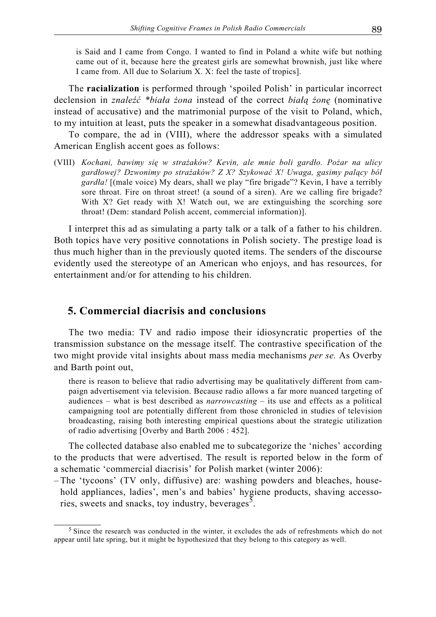is Said and I came from Congo. I wanted to find in Poland a white wife but nothing came out of it, because here the greatest girls are somewhat brownish, just like where I came from. All due to Solarium X. X: feel the taste of tropics].

The **racialization** is performed through 'spoiled Polish' in particular incorrect declension in *znaleźć \*biała żona* instead of the correct *białą żonę* (nominative instead of accusative) and the matrimonial purpose of the visit to Poland, which, to my intuition at least, puts the speaker in a somewhat disadvantageous position.

To compare, the ad in (VIII), where the addressor speaks with a simulated American English accent goes as follows:

(VIII) *Kochani, bawimy się w strażaków? Kevin, ale mnie boli gardło. Pożar na ulicy gardłowej? Dzwonimy po strażaków? Z X? Szykować X! Uwaga, gasimy palący ból gardła!* [(male voice) My dears, shall we play "fire brigade"? Kevin, I have a terribly sore throat. Fire on throat street! (a sound of a siren). Are we calling fire brigade? With X? Get ready with X! Watch out, we are extinguishing the scorching sore throat! (Dem: standard Polish accent, commercial information)].

I interpret this ad as simulating a party talk or a talk of a father to his children. Both topics have very positive connotations in Polish society. The prestige load is thus much higher than in the previously quoted items. The senders of the discourse evidently used the stereotype of an American who enjoys, and has resources, for entertainment and/or for attending to his children.

#### **5. Commercial diacrisis and conclusions**

The two media: TV and radio impose their idiosyncratic properties of the transmission substance on the message itself. The contrastive specification of the two might provide vital insights about mass media mechanisms *per se.* As Overby and Barth point out,

there is reason to believe that radio advertising may be qualitatively different from campaign advertisement via television. Because radio allows a far more nuanced targeting of audiences – what is best described as *narrowcasting* – its use and effects as a political campaigning tool are potentially different from those chronicled in studies of television broadcasting, raising both interesting empirical questions about the strategic utilization of radio advertising [Overby and Barth 2006 : 452].

The collected database also enabled me to subcategorize the 'niches' according to the products that were advertised. The result is reported below in the form of a schematic 'commercial diacrisis' for Polish market (winter 2006):

– The 'tycoons' (TV only, diffusive) are: washing powders and bleaches, household appliances, ladies', men's and babies' hygiene products, shaving accessories, sweets and snacks, toy industry, beverages<sup>5</sup>.

<sup>5</sup> Since the research was conducted in the winter, it excludes the ads of refreshments which do not appear until late spring, but it might be hypothesized that they belong to this category as well.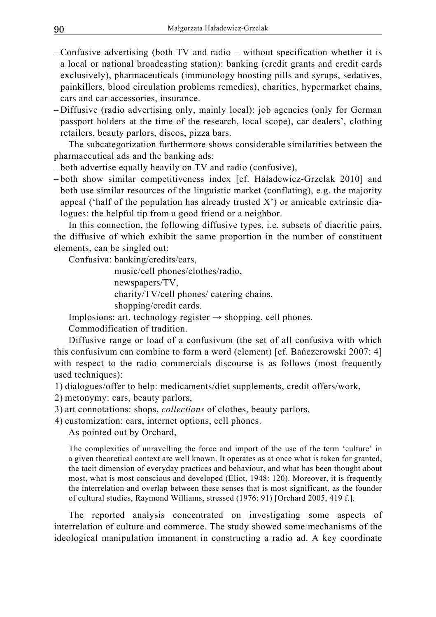- Confusive advertising (both TV and radio without specification whether it is a local or national broadcasting station): banking (credit grants and credit cards exclusively), pharmaceuticals (immunology boosting pills and syrups, sedatives, painkillers, blood circulation problems remedies), charities, hypermarket chains, cars and car accessories, insurance.
- Diffusive (radio advertising only, mainly local): job agencies (only for German passport holders at the time of the research, local scope), car dealers', clothing retailers, beauty parlors, discos, pizza bars.

The subcategorization furthermore shows considerable similarities between the pharmaceutical ads and the banking ads:

– both advertise equally heavily on TV and radio (confusive),

– both show similar competitiveness index [cf. Haładewicz-Grzelak 2010] and both use similar resources of the linguistic market (conflating), e.g. the majority appeal ('half of the population has already trusted  $X'$ ) or amicable extrinsic dialogues: the helpful tip from a good friend or a neighbor.

In this connection, the following diffusive types, i.e. subsets of diacritic pairs, the diffusive of which exhibit the same proportion in the number of constituent elements, can be singled out:

Confusiva: banking/credits/cars,

 music/cell phones/clothes/radio, newspapers/TV, charity/TV/cell phones/ catering chains, shopping/credit cards.

Implosions: art, technology register  $\rightarrow$  shopping, cell phones.

Commodification of tradition.

Diffusive range or load of a confusivum (the set of all confusiva with which this confusivum can combine to form a word (element) [cf. Bańczerowski 2007: 4] with respect to the radio commercials discourse is as follows (most frequently used techniques):

1) dialogues/offer to help: medicaments/diet supplements, credit offers/work,

2) metonymy: cars, beauty parlors,

3) art connotations: shops, *collections* of clothes, beauty parlors,

4) customization: cars, internet options, cell phones.

As pointed out by Orchard,

The complexities of unravelling the force and import of the use of the term 'culture' in a given theoretical context are well known. It operates as at once what is taken for granted, the tacit dimension of everyday practices and behaviour, and what has been thought about most, what is most conscious and developed (Eliot, 1948: 120). Moreover, it is frequently the interrelation and overlap between these senses that is most significant, as the founder of cultural studies, Raymond Williams, stressed (1976: 91) [Orchard 2005, 419 f.].

The reported analysis concentrated on investigating some aspects of interrelation of culture and commerce. The study showed some mechanisms of the ideological manipulation immanent in constructing a radio ad. A key coordinate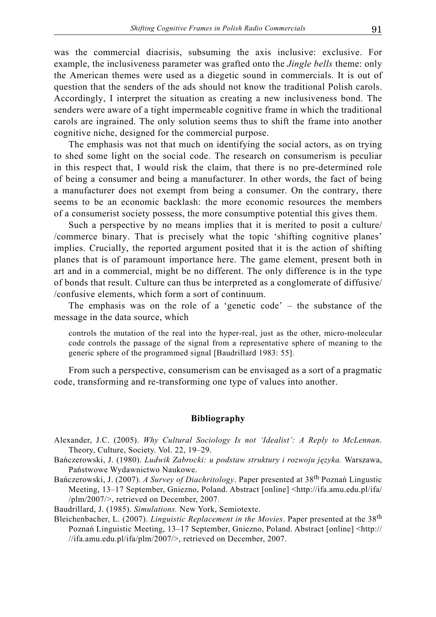was the commercial diacrisis, subsuming the axis inclusive: exclusive. For example, the inclusiveness parameter was grafted onto the *Jingle bells* theme: only the American themes were used as a diegetic sound in commercials. It is out of question that the senders of the ads should not know the traditional Polish carols. Accordingly, I interpret the situation as creating a new inclusiveness bond. The senders were aware of a tight impermeable cognitive frame in which the traditional carols are ingrained. The only solution seems thus to shift the frame into another cognitive niche, designed for the commercial purpose.

The emphasis was not that much on identifying the social actors, as on trying to shed some light on the social code. The research on consumerism is peculiar in this respect that, I would risk the claim, that there is no pre-determined role of being a consumer and being a manufacturer. In other words, the fact of being a manufacturer does not exempt from being a consumer. On the contrary, there seems to be an economic backlash: the more economic resources the members of a consumerist society possess, the more consumptive potential this gives them.

Such a perspective by no means implies that it is merited to posit a culture/ /commerce binary. That is precisely what the topic 'shifting cognitive planes' implies. Crucially, the reported argument posited that it is the action of shifting planes that is of paramount importance here. The game element, present both in art and in a commercial, might be no different. The only difference is in the type of bonds that result. Culture can thus be interpreted as a conglomerate of diffusive/ /confusive elements, which form a sort of continuum.

The emphasis was on the role of a 'genetic code' – the substance of the message in the data source, which

controls the mutation of the real into the hyper-real, just as the other, micro-molecular code controls the passage of the signal from a representative sphere of meaning to the generic sphere of the programmed signal [Baudrillard 1983: 55].

From such a perspective, consumerism can be envisaged as a sort of a pragmatic code, transforming and re-transforming one type of values into another.

#### **Bibliography**

- Alexander, J.C. (2005). *Why Cultural Sociology Is not 'Idealist': A Reply to McLennan*. Theory, Culture, Society. Vol. 22, 19–29.
- Bańczerowski, J. (1980). *Ludwik Zabrocki: u podstaw struktury i rozwoju języka.* Warszawa, Państwowe Wydawnictwo Naukowe.
- Bańczerowski, J. (2007). *A Survey of Diachritology*. Paper presented at 38th Poznań Lingustic Meeting, 13–17 September, Gniezno, Poland. Abstract [online] <http://ifa.amu.edu.pl/ifa/ /plm/2007/>, retrieved on December, 2007.

Baudrillard, J. (1985). *Simulations.* New York, Semiotexte.

Bleichenbacher, L. (2007). *Linguistic Replacement in the Movies*. Paper presented at the 38th Poznań Linguistic Meeting, 13–17 September, Gniezno, Poland. Abstract [online] <http:// //ifa.amu.edu.pl/ifa/plm/2007/>, retrieved on December, 2007.